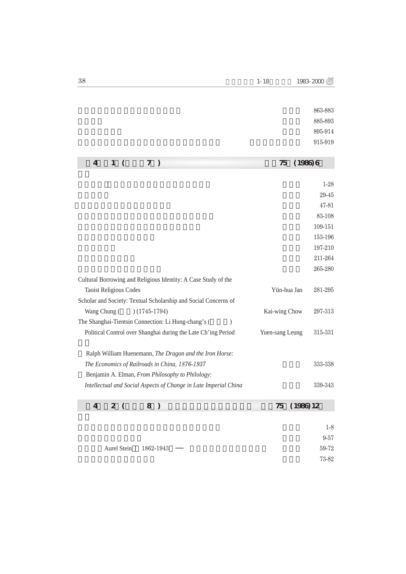|                                                                      |                  | 863-883  |
|----------------------------------------------------------------------|------------------|----------|
|                                                                      |                  | 885-893  |
|                                                                      |                  | 895-914  |
|                                                                      |                  | 915-919  |
|                                                                      |                  |          |
| 7)<br>$\overline{4}$<br>$\mathbf{1}$<br>$\left($                     | $(1986)$ 6<br>75 |          |
|                                                                      |                  |          |
|                                                                      |                  | $1 - 28$ |
|                                                                      |                  | 29-45    |
|                                                                      |                  | 47-81    |
|                                                                      |                  | 83-108   |
|                                                                      |                  | 109-151  |
|                                                                      |                  | 153-196  |
|                                                                      |                  | 197-210  |
|                                                                      |                  | 211-264  |
|                                                                      |                  | 265-280  |
| Cultural Borrowing and Religious Identity: A Case Study of the       |                  |          |
| <b>Taoist Religious Codes</b>                                        | Yün-hua Jan      | 281-295  |
| Scholar and Society: Textual Scholarship and Social Concerns of      |                  |          |
| Wang Chung (<br>$(1745-1794)$                                        | Kai-wing Chow    | 297-313  |
| The Shanghai-Tientsin Connection: Li Hung-chang's (<br>$\mathcal{E}$ |                  |          |
| Political Control over Shanghai during the Late Ch'ing Period        | Yuen-sang Leung  | 315-331  |
|                                                                      |                  |          |
| Ralph William Huenemann, The Dragon and the Iron Horse:              |                  |          |
| The Economics of Railroads in China, 1876-1937                       |                  | 333-338  |
| Benjamin A. Elman, From Philosophy to Philology:                     |                  |          |
| Intellectual and Social Aspects of Change in Late Imperial China     |                  | 339-343  |
|                                                                      |                  |          |
| $\mathbf{z}$<br>$\overline{4}$<br>8<br>$\big)$<br>$\left($           | (1986) 12<br>75  |          |
|                                                                      |                  |          |
|                                                                      |                  | $1-8$    |
|                                                                      |                  | $9 - 57$ |

Aurel Stein 1862-1943 59-72

列寧格勒所藏敦煌寫本概況 吳其昱 73-82